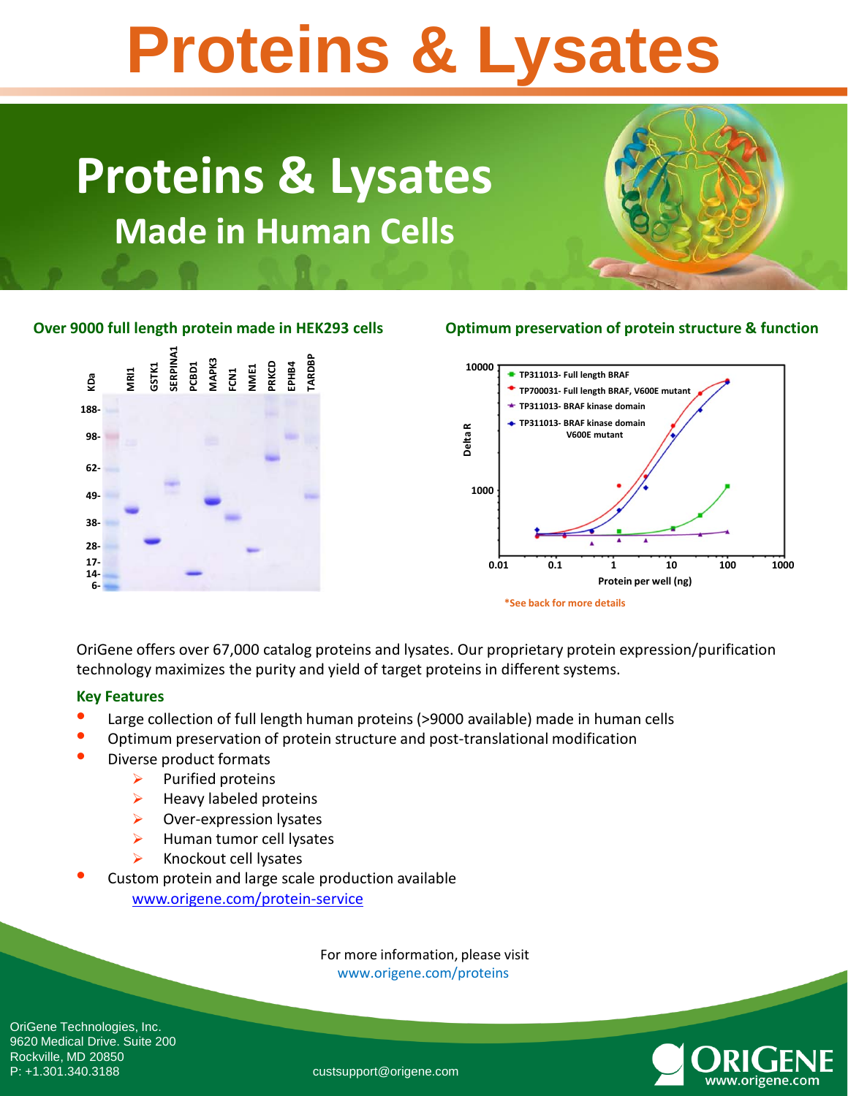# **Proteins & Lysates**

### **Proteins & Lysates Made in Human Cells**

#### ERPINA1 **SERPINA1 TARDBP GSTK1 PCBD1 MAPK3 FCN1 NME1 PRKCD EPHB4 MRI1** GQ **6-KDa 188- 98- 62- 49- 38- 28- 17- 14-**

#### **Over 9000 full length protein made in HEK293 cells Optimum preservation of protein structure & function**



OriGene offers over 67,000 catalog proteins and lysates. Our proprietary protein expression/purification technology maximizes the purity and yield of target proteins in different systems.

#### **Key Features**

- Large collection of full length human proteins (>9000 available) made in human cells
- Optimum preservation of protein structure and post-translational modification
- Diverse product formats
	- $\triangleright$  Purified proteins
	- $\triangleright$  Heavy labeled proteins
	- $\triangleright$  Over-expression lysates
	- $\blacktriangleright$  Human tumor cell lysates
	- Knockout cell lysates
- Custom protein and large scale production available [www.origene.com/protein-service](http://www.origene.com/protein-service)

For more information, please visit www.origene.com/proteins



OriGene Technologies, Inc. 9620 Medical Drive. Suite 200 Rockville, MD 20850<br>P: +1.301.340.3188